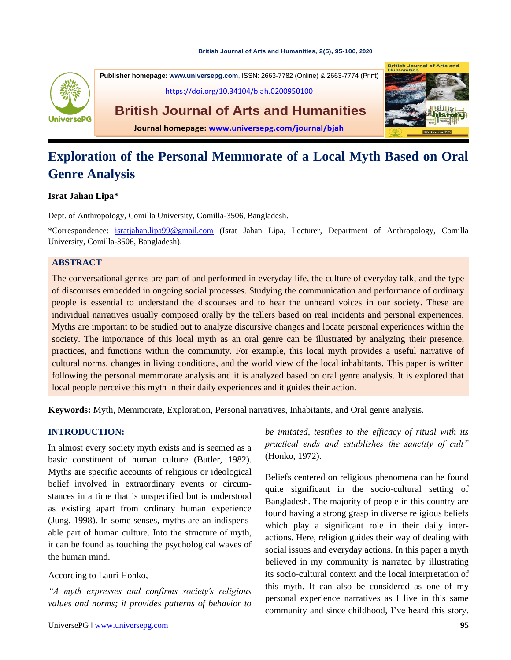#### **[British Journal of Arts and Humanities,](https://doi.org/10.34104/bjah.0200950100) 2(5), 95-100, 2020**



**Publisher homepage: [www.universepg.com](http://www.universepg.com/)**, ISSN: 2663-7782 (Online) & 2663-7774 (Print) <https://doi.org/10.34104/bjah.0200950100>

**British Journal of Arts and Humanities**



**Journal homepage: [www.universepg.com/journal/bjah](http://www.universepg.com/journal/bjah)**

# **Exploration of the Personal Memmorate of a Local Myth Based on Oral Genre Analysis**

# **Israt Jahan Lipa\***

Dept. of Anthropology, Comilla University, Comilla-3506, Bangladesh.

\*Correspondence: [isratjahan.lipa99@gmail.com](mailto:isratjahan.lipa99@gmail.com) (Israt Jahan Lipa, Lecturer, Department of Anthropology, Comilla University, Comilla-3506, Bangladesh).

# **ABSTRACT**

The conversational genres are part of and performed in everyday life, the culture of everyday talk, and the type of discourses embedded in ongoing social processes. Studying the communication and performance of ordinary people is essential to understand the discourses and to hear the unheard voices in our society. These are individual narratives usually composed orally by the tellers based on real incidents and personal experiences. Myths are important to be studied out to analyze discursive changes and locate personal experiences within the society. The importance of this local myth as an oral genre can be illustrated by analyzing their presence, practices, and functions within the community. For example, this local myth provides a useful narrative of cultural norms, changes in living conditions, and the world view of the local inhabitants. This paper is written following the personal memmorate analysis and it is analyzed based on oral genre analysis. It is explored that local people perceive this myth in their daily experiences and it guides their action.

**Keywords:** Myth, Memmorate, Exploration, Personal narratives, Inhabitants, and Oral genre analysis.

# **INTRODUCTION:**

In almost every society myth exists and is seemed as a basic constituent of human culture (Butler, 1982). Myths are specific accounts of religious or ideological belief involved in extraordinary events or circumstances in a time that is unspecified but is understood as existing apart from ordinary human experience (Jung, 1998). In some senses, myths are an indispensable part of human culture. Into the structure of myth, it can be found as touching the psychological waves of the human mind.

# According to Lauri Honko,

*"A myth expresses and confirms society's religious values and norms; it provides patterns of behavior to* 

*be imitated, testifies to the efficacy of ritual with its practical ends and establishes the sanctity of cult"* (Honko, 1972).

Beliefs centered on religious phenomena can be found quite significant in the socio-cultural setting of Bangladesh. The majority of people in this country are found having a strong grasp in diverse religious beliefs which play a significant role in their daily interactions. Here, religion guides their way of dealing with social issues and everyday actions. In this paper a myth believed in my community is narrated by illustrating its socio-cultural context and the local interpretation of this myth. It can also be considered as one of my personal experience narratives as I live in this same community and since childhood, I've heard this story.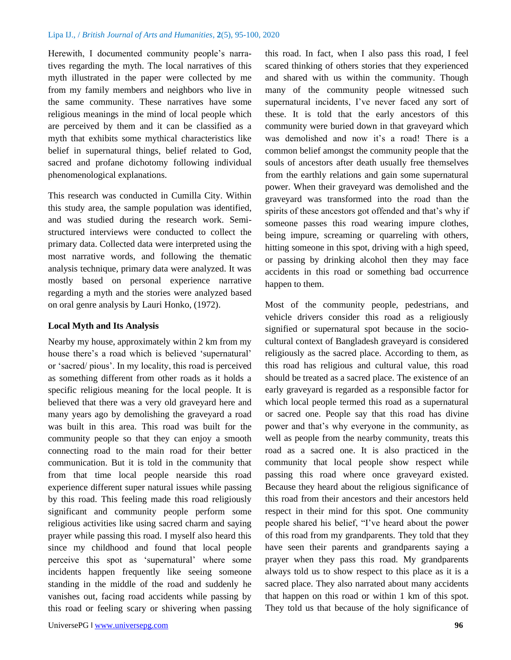Herewith, I documented community people's narratives regarding the myth. The local narratives of this myth illustrated in the paper were collected by me from my family members and neighbors who live in the same community. These narratives have some religious meanings in the mind of local people which are perceived by them and it can be classified as a myth that exhibits some mythical characteristics like belief in supernatural things, belief related to God, sacred and profane dichotomy following individual phenomenological explanations.

This research was conducted in Cumilla City. Within this study area, the sample population was identified, and was studied during the research work. Semistructured interviews were conducted to collect the primary data. Collected data were interpreted using the most narrative words, and following the thematic analysis technique, primary data were analyzed. It was mostly based on personal experience narrative regarding a myth and the stories were analyzed based on oral genre analysis by Lauri Honko, (1972).

# **Local Myth and Its Analysis**

Nearby my house, approximately within 2 km from my house there's a road which is believed 'supernatural' or 'sacred/ pious'. In my locality, this road is perceived as something different from other roads as it holds a specific religious meaning for the local people. It is believed that there was a very old graveyard here and many years ago by demolishing the graveyard a road was built in this area. This road was built for the community people so that they can enjoy a smooth connecting road to the main road for their better communication. But it is told in the community that from that time local people nearside this road experience different super natural issues while passing by this road. This feeling made this road religiously significant and community people perform some religious activities like using sacred charm and saying prayer while passing this road. I myself also heard this since my childhood and found that local people perceive this spot as 'supernatural' where some incidents happen frequently like seeing someone standing in the middle of the road and suddenly he vanishes out, facing road accidents while passing by this road or feeling scary or shivering when passing

UniversePG l [www.universepg.com](http://www.universepg.com/) **96 96** 

this road. In fact, when I also pass this road, I feel scared thinking of others stories that they experienced and shared with us within the community. Though many of the community people witnessed such supernatural incidents, I've never faced any sort of these. It is told that the early ancestors of this community were buried down in that graveyard which was demolished and now it's a road! There is a common belief amongst the community people that the souls of ancestors after death usually free themselves from the earthly relations and gain some supernatural power. When their graveyard was demolished and the graveyard was transformed into the road than the spirits of these ancestors got offended and that's why if someone passes this road wearing impure clothes, being impure, screaming or quarreling with others, hitting someone in this spot, driving with a high speed, or passing by drinking alcohol then they may face accidents in this road or something bad occurrence happen to them.

Most of the community people, pedestrians, and vehicle drivers consider this road as a religiously signified or supernatural spot because in the sociocultural context of Bangladesh graveyard is considered religiously as the sacred place. According to them, as this road has religious and cultural value, this road should be treated as a sacred place. The existence of an early graveyard is regarded as a responsible factor for which local people termed this road as a supernatural or sacred one. People say that this road has divine power and that's why everyone in the community, as well as people from the nearby community, treats this road as a sacred one. It is also practiced in the community that local people show respect while passing this road where once graveyard existed. Because they heard about the religious significance of this road from their ancestors and their ancestors held respect in their mind for this spot. One community people shared his belief, "I've heard about the power of this road from my grandparents. They told that they have seen their parents and grandparents saying a prayer when they pass this road. My grandparents always told us to show respect to this place as it is a sacred place. They also narrated about many accidents that happen on this road or within 1 km of this spot. They told us that because of the holy significance of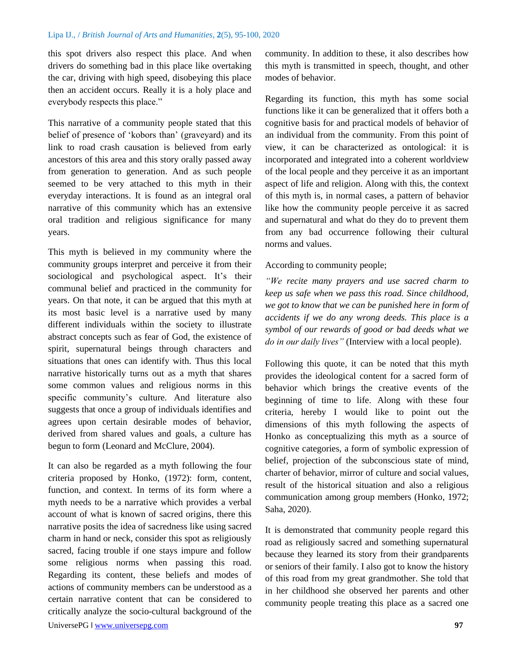this spot drivers also respect this place. And when drivers do something bad in this place like overtaking the car, driving with high speed, disobeying this place then an accident occurs. Really it is a holy place and everybody respects this place."

This narrative of a community people stated that this belief of presence of 'kobors than' (graveyard) and its link to road crash causation is believed from early ancestors of this area and this story orally passed away from generation to generation. And as such people seemed to be very attached to this myth in their everyday interactions. It is found as an integral oral narrative of this community which has an extensive oral tradition and religious significance for many years.

This myth is believed in my community where the community groups interpret and perceive it from their sociological and psychological aspect. It's their communal belief and practiced in the community for years. On that note, it can be argued that this myth at its most basic level is a narrative used by many different individuals within the society to illustrate abstract concepts such as fear of God, the existence of spirit, supernatural beings through characters and situations that ones can identify with. Thus this local narrative historically turns out as a myth that shares some common values and religious norms in this specific community's culture. And literature also suggests that once a group of individuals identifies and agrees upon certain desirable modes of behavior, derived from shared values and goals, a culture has begun to form (Leonard and McClure, 2004).

It can also be regarded as a myth following the four criteria proposed by Honko, (1972): form, content, function, and context. In terms of its form where a myth needs to be a narrative which provides a verbal account of what is known of sacred origins, there this narrative posits the idea of sacredness like using sacred charm in hand or neck, consider this spot as religiously sacred, facing trouble if one stays impure and follow some religious norms when passing this road. Regarding its content, these beliefs and modes of actions of community members can be understood as a certain narrative content that can be considered to critically analyze the socio-cultural background of the community. In addition to these, it also describes how this myth is transmitted in speech, thought, and other modes of behavior.

Regarding its function, this myth has some social functions like it can be generalized that it offers both a cognitive basis for and practical models of behavior of an individual from the community. From this point of view, it can be characterized as ontological: it is incorporated and integrated into a coherent worldview of the local people and they perceive it as an important aspect of life and religion. Along with this, the context of this myth is, in normal cases, a pattern of behavior like how the community people perceive it as sacred and supernatural and what do they do to prevent them from any bad occurrence following their cultural norms and values.

## According to community people;

*"We recite many prayers and use sacred charm to keep us safe when we pass this road. Since childhood, we got to know that we can be punished here in form of accidents if we do any wrong deeds. This place is a symbol of our rewards of good or bad deeds what we do in our daily lives"* (Interview with a local people).

Following this quote, it can be noted that this myth provides the ideological content for a sacred form of behavior which brings the creative events of the beginning of time to life. Along with these four criteria, hereby I would like to point out the dimensions of this myth following the aspects of Honko as conceptualizing this myth as a source of cognitive categories, a form of symbolic expression of belief, projection of the subconscious state of mind, charter of behavior, mirror of culture and social values, result of the historical situation and also a religious communication among group members (Honko, 1972; Saha, 2020).

It is demonstrated that community people regard this road as religiously sacred and something supernatural because they learned its story from their grandparents or seniors of their family. I also got to know the history of this road from my great grandmother. She told that in her childhood she observed her parents and other community people treating this place as a sacred one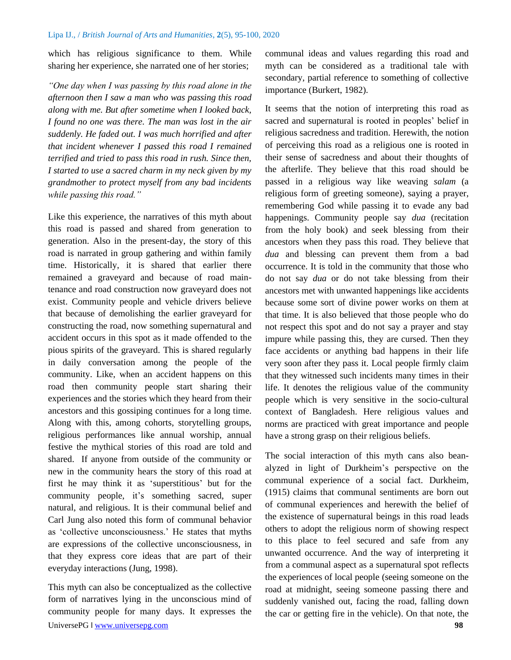which has religious significance to them. While sharing her experience, she narrated one of her stories;

*"One day when I was passing by this road alone in the afternoon then I saw a man who was passing this road along with me. But after sometime when I looked back, I found no one was there. The man was lost in the air suddenly. He faded out. I was much horrified and after that incident whenever I passed this road I remained terrified and tried to pass this road in rush. Since then, I started to use a sacred charm in my neck given by my grandmother to protect myself from any bad incidents while passing this road."*

Like this experience, the narratives of this myth about this road is passed and shared from generation to generation. Also in the present-day, the story of this road is narrated in group gathering and within family time. Historically, it is shared that earlier there remained a graveyard and because of road maintenance and road construction now graveyard does not exist. Community people and vehicle drivers believe that because of demolishing the earlier graveyard for constructing the road, now something supernatural and accident occurs in this spot as it made offended to the pious spirits of the graveyard. This is shared regularly in daily conversation among the people of the community. Like, when an accident happens on this road then community people start sharing their experiences and the stories which they heard from their ancestors and this gossiping continues for a long time. Along with this, among cohorts, storytelling groups, religious performances like annual worship, annual festive the mythical stories of this road are told and shared. If anyone from outside of the community or new in the community hears the story of this road at first he may think it as 'superstitious' but for the community people, it's something sacred, super natural, and religious. It is their communal belief and Carl Jung also noted this form of communal behavior as 'collective unconsciousness.' He states that myths are expressions of the collective unconsciousness, in that they express core ideas that are part of their everyday interactions (Jung, 1998).

UniversePG l [www.universepg.com](http://www.universepg.com/) **98** This myth can also be conceptualized as the collective form of narratives lying in the unconscious mind of community people for many days. It expresses the

communal ideas and values regarding this road and myth can be considered as a traditional tale with secondary, partial reference to something of collective importance (Burkert, 1982).

It seems that the notion of interpreting this road as sacred and supernatural is rooted in peoples' belief in religious sacredness and tradition. Herewith, the notion of perceiving this road as a religious one is rooted in their sense of sacredness and about their thoughts of the afterlife. They believe that this road should be passed in a religious way like weaving *salam* (a religious form of greeting someone), saying a prayer, remembering God while passing it to evade any bad happenings. Community people say *dua* (recitation from the holy book) and seek blessing from their ancestors when they pass this road. They believe that *dua* and blessing can prevent them from a bad occurrence. It is told in the community that those who do not say *dua* or do not take blessing from their ancestors met with unwanted happenings like accidents because some sort of divine power works on them at that time. It is also believed that those people who do not respect this spot and do not say a prayer and stay impure while passing this, they are cursed. Then they face accidents or anything bad happens in their life very soon after they pass it. Local people firmly claim that they witnessed such incidents many times in their life. It denotes the religious value of the community people which is very sensitive in the socio-cultural context of Bangladesh. Here religious values and norms are practiced with great importance and people have a strong grasp on their religious beliefs.

The social interaction of this myth cans also beanalyzed in light of Durkheim's perspective on the communal experience of a social fact. Durkheim, (1915) claims that communal sentiments are born out of communal experiences and herewith the belief of the existence of supernatural beings in this road leads others to adopt the religious norm of showing respect to this place to feel secured and safe from any unwanted occurrence. And the way of interpreting it from a communal aspect as a supernatural spot reflects the experiences of local people (seeing someone on the road at midnight, seeing someone passing there and suddenly vanished out, facing the road, falling down the car or getting fire in the vehicle). On that note, the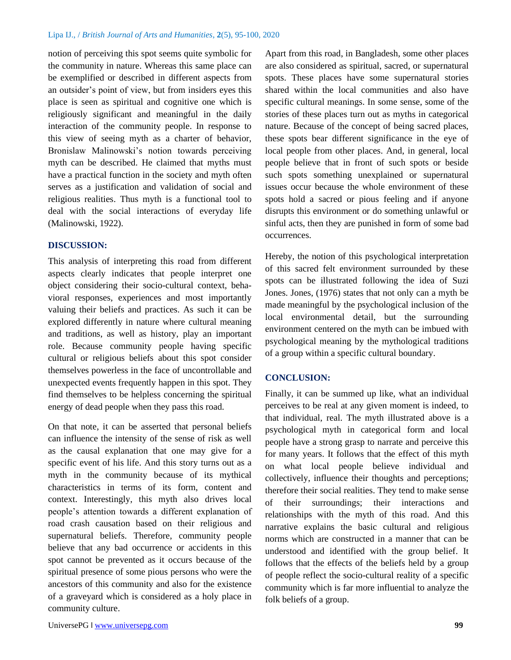notion of perceiving this spot seems quite symbolic for the community in nature. Whereas this same place can be exemplified or described in different aspects from an outsider's point of view, but from insiders eyes this place is seen as spiritual and cognitive one which is religiously significant and meaningful in the daily interaction of the community people. In response to this view of seeing myth as a charter of behavior, Bronislaw Malinowski's notion towards perceiving myth can be described. He claimed that myths must have a practical function in the society and myth often serves as a justification and validation of social and religious realities. Thus myth is a functional tool to deal with the social interactions of everyday life (Malinowski, 1922).

# **DISCUSSION:**

This analysis of interpreting this road from different aspects clearly indicates that people interpret one object considering their socio-cultural context, behavioral responses, experiences and most importantly valuing their beliefs and practices. As such it can be explored differently in nature where cultural meaning and traditions, as well as history, play an important role. Because community people having specific cultural or religious beliefs about this spot consider themselves powerless in the face of uncontrollable and unexpected events frequently happen in this spot. They find themselves to be helpless concerning the spiritual energy of dead people when they pass this road.

On that note, it can be asserted that personal beliefs can influence the intensity of the sense of risk as well as the causal explanation that one may give for a specific event of his life. And this story turns out as a myth in the community because of its mythical characteristics in terms of its form, content and context. Interestingly, this myth also drives local people's attention towards a different explanation of road crash causation based on their religious and supernatural beliefs. Therefore, community people believe that any bad occurrence or accidents in this spot cannot be prevented as it occurs because of the spiritual presence of some pious persons who were the ancestors of this community and also for the existence of a graveyard which is considered as a holy place in community culture.

Apart from this road, in Bangladesh, some other places are also considered as spiritual, sacred, or supernatural spots. These places have some supernatural stories shared within the local communities and also have specific cultural meanings. In some sense, some of the stories of these places turn out as myths in categorical nature. Because of the concept of being sacred places, these spots bear different significance in the eye of local people from other places. And, in general, local people believe that in front of such spots or beside such spots something unexplained or supernatural issues occur because the whole environment of these spots hold a sacred or pious feeling and if anyone disrupts this environment or do something unlawful or sinful acts, then they are punished in form of some bad occurrences.

Hereby, the notion of this psychological interpretation of this sacred felt environment surrounded by these spots can be illustrated following the idea of Suzi Jones. Jones, (1976) states that not only can a myth be made meaningful by the psychological inclusion of the local environmental detail, but the surrounding environment centered on the myth can be imbued with psychological meaning by the mythological traditions of a group within a specific cultural boundary.

## **CONCLUSION:**

Finally, it can be summed up like, what an individual perceives to be real at any given moment is indeed, to that individual, real. The myth illustrated above is a psychological myth in categorical form and local people have a strong grasp to narrate and perceive this for many years. It follows that the effect of this myth on what local people believe individual and collectively, influence their thoughts and perceptions; therefore their social realities. They tend to make sense of their surroundings; their interactions and relationships with the myth of this road. And this narrative explains the basic cultural and religious norms which are constructed in a manner that can be understood and identified with the group belief. It follows that the effects of the beliefs held by a group of people reflect the socio-cultural reality of a specific community which is far more influential to analyze the folk beliefs of a group.